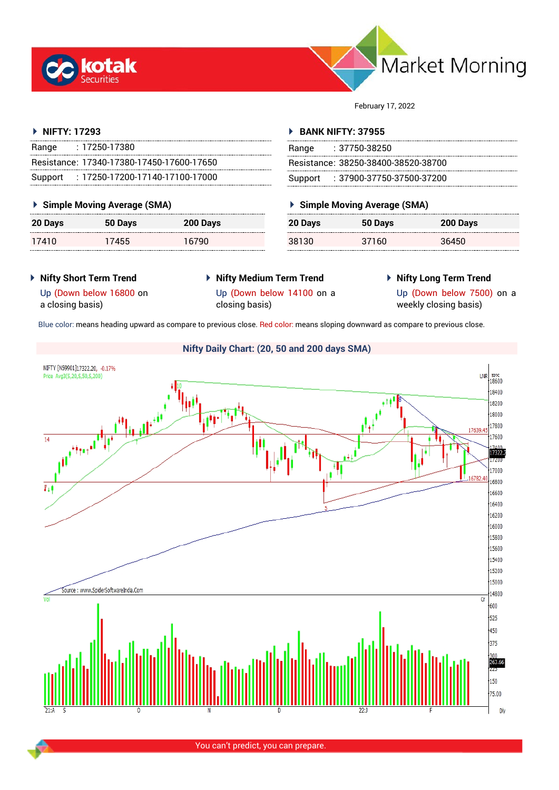



February 17, 2022

#### **NIFTY: 17293**

| Range   | $: 17250 - 17380$                         |
|---------|-------------------------------------------|
|         | Resistance: 17340-17380-17450-17600-17650 |
| Support | $: 17250$ -17200-17140-17100-17000        |

# **Simple Moving Average (SMA)**

| 20 Days | 50 Days | 200 Days |
|---------|---------|----------|
| 17410   | 17455   | 16790    |

#### **BANK NIFTY: 37955**

| Range | : 37750-38250                       |
|-------|-------------------------------------|
|       | Resistance: 38250-38400-38520-38700 |
|       | Support : 37900-37750-37500-37200   |

# **Simple Moving Average (SMA)**

| 20 Days | 50 Days | 200 Days |
|---------|---------|----------|
| 38130   | 37160   | 36450    |

# **Nifty Short Term Trend**

# **Nifty Medium Term Trend**

**Nifty Long Term Trend**

Up (Down below 16800 on a closing basis)

Up (Down below 14100 on a closing basis)

Up (Down below 7500) on a weekly closing basis)

Blue color: means heading upward as compare to previous close. Red color: means sloping downward as compare to previous close.

#### **Nifty Daily Chart: (20, 50 and 200 days SMA)**NIFTY [N59901]17322.20, -0.17%  $LNR$ <sub>-18600</sub> Price Avg3(S,20,S,50,S,200) 18400 18200 18000 ثاء ما<sup>لل</sup>ا **Surface of the American** 17800 17630.4 17600  $\overline{14}$ 17322 17000 16800  $\overline{V_{\perp}}$ 16600 16400  $16200$ 16000 15800 15600 15400 15200 15000 Source: www.SpiderSoftwareIndia.Con 14800  $\overline{0}$  $600$  $-525$  $+450$  $\frac{1}{375}$ 263.66  $150$  $-75.00$ Dh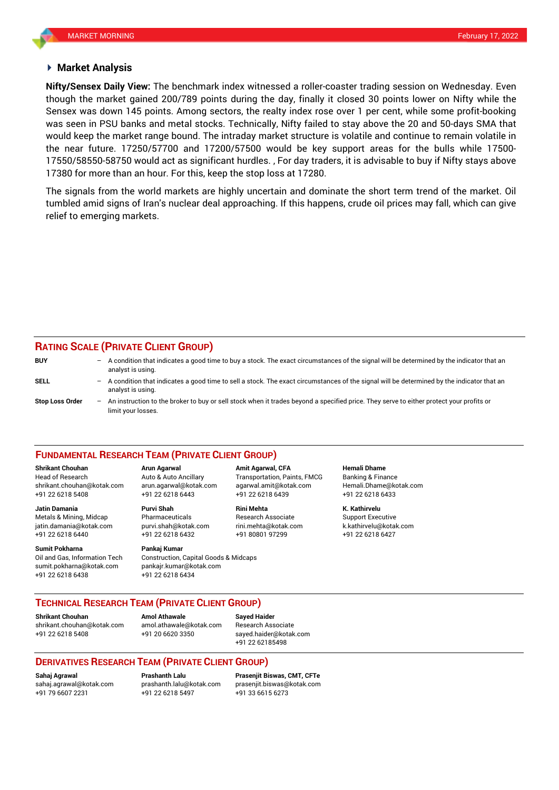#### **Market Analysis**

though the market gained 200/789 points during the day, finally it closed 30 points lower on Nifty while the was seen in PSU banks and metal stocks. Technically, Nifty failed to stay above the 20 and 50-days SMA that **Nifty/Sensex Daily View:** The benchmark index witnessed a roller-coaster trading session on Wednesday. Even Sensex was down 145 points. Among sectors, the realty index rose over 1 per cent, while some profit-booking would keep the market range bound. The intraday market structure is volatile and continue to remain volatile in the near future. 17250/57700 and 17200/57500 would be key support areas for the bulls while 17500- 17550/58550-58750 would act as significant hurdles. , For day traders, it is advisable to buy if Nifty stays above 17380 for more than an hour. For this, keep the stop loss at 17280.

The signals from the world markets are highly uncertain and dominate the short term trend of the market. Oil tumbled amid signs of Iran's nuclear deal approaching. If this happens, crude oil prices may fall, which can give relief to emerging markets.

# **RATING SCALE (PRIVATE CLIENT GROUP)**

| <b>BUY</b>             | $-$                      | A condition that indicates a good time to buy a stock. The exact circumstances of the signal will be determined by the indicator that an<br>analyst is using.  |
|------------------------|--------------------------|----------------------------------------------------------------------------------------------------------------------------------------------------------------|
| <b>SELL</b>            | -                        | A condition that indicates a good time to sell a stock. The exact circumstances of the signal will be determined by the indicator that an<br>analyst is using. |
| <b>Stop Loss Order</b> | $\overline{\phantom{0}}$ | An instruction to the broker to buy or sell stock when it trades beyond a specified price. They serve to either protect your profits or<br>limit your losses.  |

#### **FUNDAMENTAL RESEARCH TEAM (PRIVATE CLIENT GROUP)**

Head of Research Auto & Auto Ancillary Transportation, Paints, FMCG Banking & Finance [shrikant.chouhan@kotak.com](mailto:shrikant.chouhan@kotak.com) arun.agarwal@kotak.com agarwal.amit@kotak.com Hemali.Dhame@kotak.com

**Jatin Damania Purvi Shah Rini Mehta K. Kathirvelu** Metals & Mining, Midcap Pharmaceuticals Research Associate Support Executive jatin.damania@kotak.com [purvi.shah@kotak.com](mailto:purvi.shah@kotak.com) rini.mehta@kotak.com [k.kathirvelu@kotak.com](mailto:k.kathirvelu@kotak.com) +91 22 6218 6440 +91 22 6218 6432 +91 80801 97299 +91 22 6218 6427

**Sumit Pokharna Pankaj Kumar** Oil and Gas, Information Tech Construction, Capital Goods & Midcaps sumit.pokharna@kotak.com pankajr.kumar@kotak.com

+91 22 6218 5408 +91 22 6218 6443 +91 22 6218 6439 +91 22 6218 6433

+91 22 6218 6438 +91 22 6218 6434

**Shrikant Chouhan Arun Agarwal Amit Agarwal, CFA Hemali Dhame**

# **TECHNICAL RESEARCH TEAM (PRIVATE CLIENT GROUP)**

**Shrikant Chouhan Amol Athawale Sayed Haider**

[shrikant.chouhan@kotak.com](mailto:shrikant.chouhan@kotak.com) [amol.athawale@kotak.com](mailto:amol.athawale@kotak.com) Research Associate +91 22 6218 5408 +91 20 6620 3350 [sayed.haider@kotak.com](mailto:sayed.haider@kotak.com)

+91 22 62185498

# **DERIVATIVES RESEARCH TEAM (PRIVATE CLIENT GROUP)**

+91 22 6218 5497 +91 33 6615 6273

**Sahaj Agrawal Prashanth Lalu Prasenjit Biswas, CMT, CFTe** [sahaj.agrawal@kotak.com](mailto:sahaj.agrawal@kotak.com) [prashanth.lalu@kotak.com](mailto:prashanth.lalu@kotak.com) [prasenjit.biswas@kotak.com](mailto:prasenjit.biswas@kotak.com)